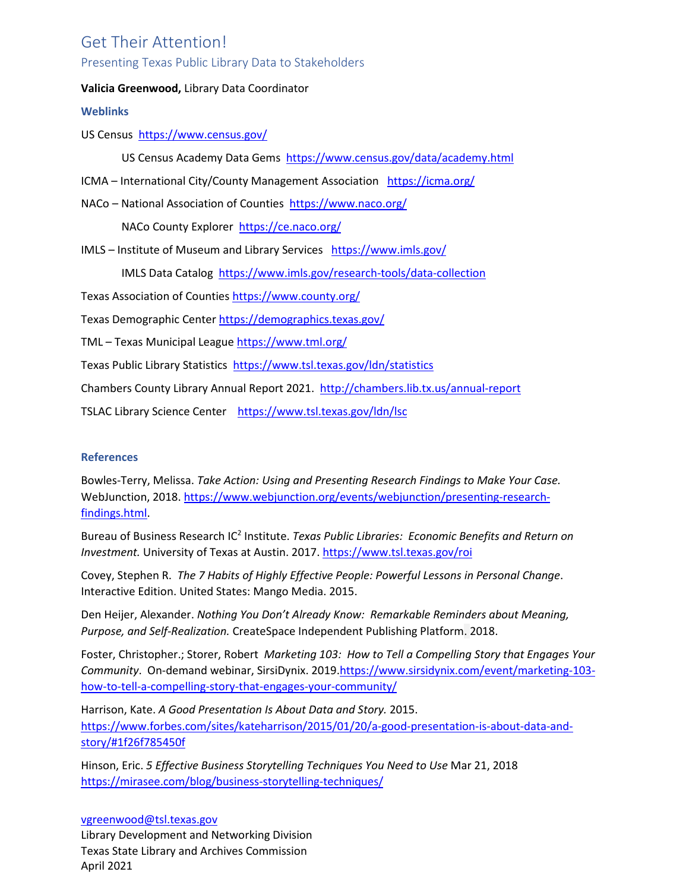# Get Their Attention!

# Presenting Texas Public Library Data to Stakeholders

## **Valicia Greenwood,** Library Data Coordinator

## **Weblinks**

US Census <https://www.census.gov/>

US Census Academy Data Gems <https://www.census.gov/data/academy.html>

- ICMA International City/County Management Association <https://icma.org/>
- NACo National Association of Counties <https://www.naco.org/>

NACo County Explorer <https://ce.naco.org/>

IMLS – Institute of Museum and Library Services <https://www.imls.gov/>

IMLS Data Catalog <https://www.imls.gov/research-tools/data-collection>

Texas Association of Counties <https://www.county.org/>

Texas Demographic Center <https://demographics.texas.gov/>

TML – Texas Municipal League <https://www.tml.org/>

Texas Public Library Statistics <https://www.tsl.texas.gov/ldn/statistics>

Chambers County Library Annual Report 2021. <http://chambers.lib.tx.us/annual-report>

TSLAC Library Science Center <https://www.tsl.texas.gov/ldn/lsc>

## **References**

Bowles-Terry, Melissa. *Take Action: Using and Presenting Research Findings to Make Your Case.* WebJunction, 2018. [https://www.webjunction.org/events/webjunction/presenting-research](https://www.webjunction.org/events/webjunction/presenting-research-findings.html)[findings.html.](https://www.webjunction.org/events/webjunction/presenting-research-findings.html)

Bureau of Business Research IC2 Institute. *Texas Public Libraries: Economic Benefits and Return on Investment.* University of Texas at Austin. 2017[. https://www.tsl.texas.gov/roi](https://www.tsl.texas.gov/roi)

Covey, Stephen R. *The 7 Habits of Highly Effective People: Powerful Lessons in Personal Change*. Interactive Edition. United States: Mango Media. 2015.

Den Heijer, Alexander. *Nothing You Don't Already Know: Remarkable Reminders about Meaning, Purpose, and Self-Realization.* CreateSpace Independent Publishing Platform. 2018.

Foster, Christopher.; Storer, Robert *Marketing 103: How to Tell a Compelling Story that Engages Your Community*. On-demand webinar, SirsiDynix. 2019[.https://www.sirsidynix.com/event/marketing-103](https://www.sirsidynix.com/event/marketing-103-how-to-tell-a-compelling-story-that-engages-your-community/) [how-to-tell-a-compelling-story-that-engages-your-community/](https://www.sirsidynix.com/event/marketing-103-how-to-tell-a-compelling-story-that-engages-your-community/) 

Harrison, Kate. *A Good Presentation Is About Data and Story.* 2015. [https://www.forbes.com/sites/kateharrison/2015/01/20/a-good-presentation-is-about-data-and](https://www.forbes.com/sites/kateharrison/2015/01/20/a-good-presentation-is-about-data-and-story/#1f26f785450f)[story/#1f26f785450f](https://www.forbes.com/sites/kateharrison/2015/01/20/a-good-presentation-is-about-data-and-story/#1f26f785450f)

Hinson, Eric. *5 Effective Business Storytelling Techniques You Need to Use* Mar 21, 2018 <https://mirasee.com/blog/business-storytelling-techniques/>

[vgreenwood@tsl.texas.gov](mailto:vgreenwood@tsl.texas.gov) Library Development and Networking Division Texas State Library and Archives Commission April 2021